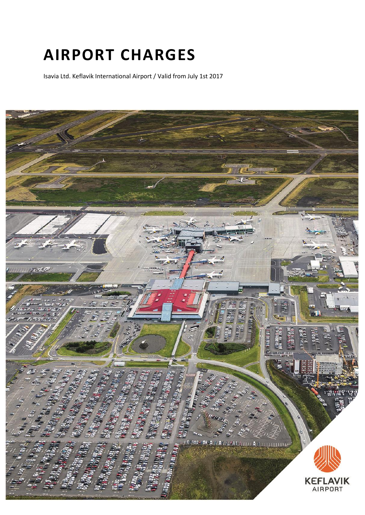# **AIRPORT CHARGES**

Isavia Ltd. Keflavik International Airport / Valid from July 1st 2017

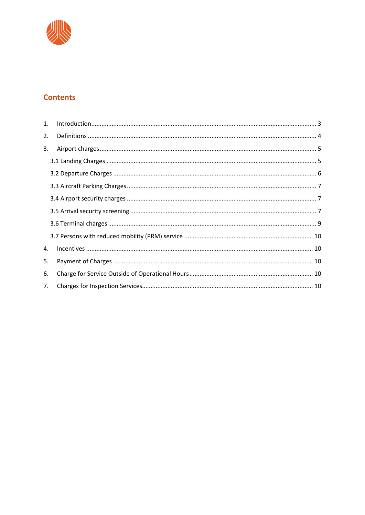

# **Contents**

| 1. |  |
|----|--|
| 2. |  |
| 3. |  |
|    |  |
|    |  |
|    |  |
|    |  |
|    |  |
|    |  |
|    |  |
| 4. |  |
| 5. |  |
| 6. |  |
| 7. |  |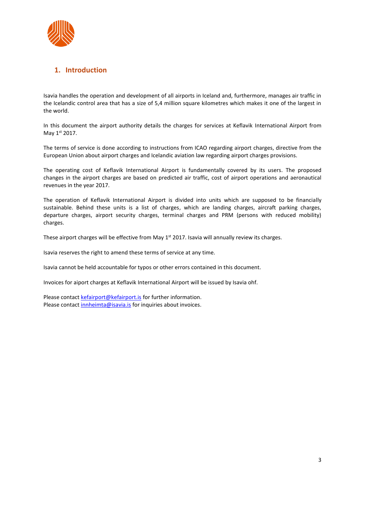

# <span id="page-2-0"></span>**1. Introduction**

Isavia handles the operation and development of all airports in Iceland and, furthermore, manages air traffic in the Icelandic control area that has a size of 5,4 million square kilometres which makes it one of the largest in the world.

In this document the airport authority details the charges for services at Keflavik International Airport from May 1st 2017.

The terms of service is done according to instructions from ICAO regarding airport charges, directive from the European Union about airport charges and Icelandic aviation law regarding airport charges provisions.

The operating cost of Keflavik International Airport is fundamentally covered by its users. The proposed changes in the airport charges are based on predicted air traffic, cost of airport operations and aeronautical revenues in the year 2017.

The operation of Keflavik International Airport is divided into units which are supposed to be financially sustainable. Behind these units is a list of charges, which are landing charges, aircraft parking charges, departure charges, airport security charges, terminal charges and PRM (persons with reduced mobility) charges.

These airport charges will be effective from May  $1<sup>st</sup>$  2017. Isavia will annually review its charges.

Isavia reserves the right to amend these terms of service at any time.

Isavia cannot be held accountable for typos or other errors contained in this document.

Invoices for aiport charges at Keflavik International Airport will be issued by Isavia ohf.

Please contact [kefairport@kefairport.is](mailto:kefairport@kefairport.is) for further information. Please contact *innheimta@isavia.is* for inquiries about invoices.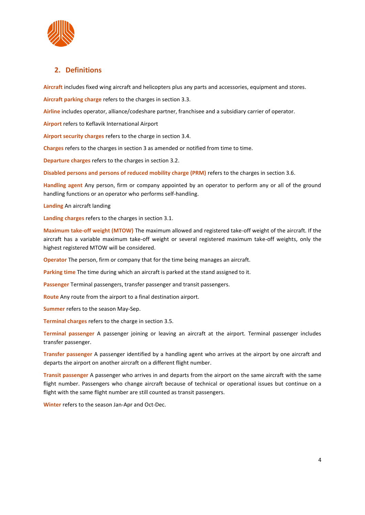

# <span id="page-3-0"></span>**2. Definitions**

**Aircraft** includes fixed wing aircraft and helicopters plus any parts and accessories, equipment and stores.

**Aircraft parking charge** refers to the charges in section 3.3.

**Airline** includes operator, alliance/codeshare partner, franchisee and a subsidiary carrier of operator.

**Airport** refers to Keflavik International Airport

**Airport security charges** refers to the charge in section 3.4.

**Charges** refers to the charges in section 3 as amended or notified from time to time.

**Departure charges** refers to the charges in section 3.2.

**Disabled persons and persons of reduced mobility charge (PRM)** refers to the charges in section 3.6.

**Handling agent** Any person, firm or company appointed by an operator to perform any or all of the ground handling functions or an operator who performs self-handling.

**Landing** An aircraft landing

**Landing charges** refers to the charges in section 3.1.

**Maximum take-off weight (MTOW)** The maximum allowed and registered take-off weight of the aircraft. If the aircraft has a variable maximum take-off weight or several registered maximum take-off weights, only the highest registered MTOW will be considered.

**Operator** The person, firm or company that for the time being manages an aircraft.

**Parking time** The time during which an aircraft is parked at the stand assigned to it.

**Passenger** Terminal passengers, transfer passenger and transit passengers.

**Route** Any route from the airport to a final destination airport.

**Summer** refers to the season May-Sep.

**Terminal charges** refers to the charge in section 3.5.

**Terminal passenger** A passenger joining or leaving an aircraft at the airport. Terminal passenger includes transfer passenger.

**Transfer passenger** A passenger identified by a handling agent who arrives at the airport by one aircraft and departs the airport on another aircraft on a different flight number.

**Transit passenger** A passenger who arrives in and departs from the airport on the same aircraft with the same flight number. Passengers who change aircraft because of technical or operational issues but continue on a flight with the same flight number are still counted as transit passengers.

**Winter** refers to the season Jan-Apr and Oct-Dec.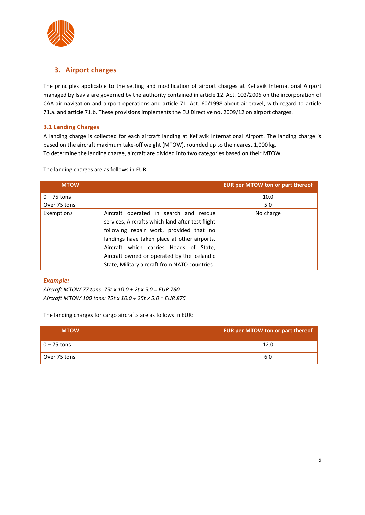

# <span id="page-4-0"></span>**3. Airport charges**

The principles applicable to the setting and modification of airport charges at Keflavik International Airport managed by Isavia are governed by the authority contained in article 12. Act. 102/2006 on the incorporation of CAA air navigation and airport operations and article 71. Act. 60/1998 about air travel, with regard to article 71.a. and article 71.b. These provisions implements the EU Directive no. 2009/12 on airport charges.

# <span id="page-4-1"></span>**3.1 Landing Charges**

A landing charge is collected for each aircraft landing at Keflavik International Airport. The landing charge is based on the aircraft maximum take-off weight (MTOW), rounded up to the nearest 1,000 kg. To determine the landing charge, aircraft are divided into two categories based on their MTOW.

The landing charges are as follows in EUR:

| <b>MTOW</b>   |                                                                                                                                                                                                                                                                                                                                | <b>EUR per MTOW ton or part thereof</b> |
|---------------|--------------------------------------------------------------------------------------------------------------------------------------------------------------------------------------------------------------------------------------------------------------------------------------------------------------------------------|-----------------------------------------|
| $0 - 75$ tons |                                                                                                                                                                                                                                                                                                                                | 10.0                                    |
| Over 75 tons  |                                                                                                                                                                                                                                                                                                                                | 5.0                                     |
| Exemptions    | Aircraft operated in search and rescue<br>services, Aircrafts which land after test flight<br>following repair work, provided that no<br>landings have taken place at other airports,<br>Aircraft which carries Heads of State,<br>Aircraft owned or operated by the Icelandic<br>State, Military aircraft from NATO countries | No charge                               |

## *Example:*

*Aircraft MTOW 77 tons: 75t x 10.0 + 2t x 5.0 = EUR 760 Aircraft MTOW 100 tons: 75t x 10.0 + 25t x 5.0 = EUR 875*

The landing charges for cargo aircrafts are as follows in EUR:

<span id="page-4-2"></span>

| <b>MTOW</b>   | EUR per MTOW ton or part thereof |
|---------------|----------------------------------|
| $0 - 75$ tons | 12.0                             |
| Over 75 tons  |                                  |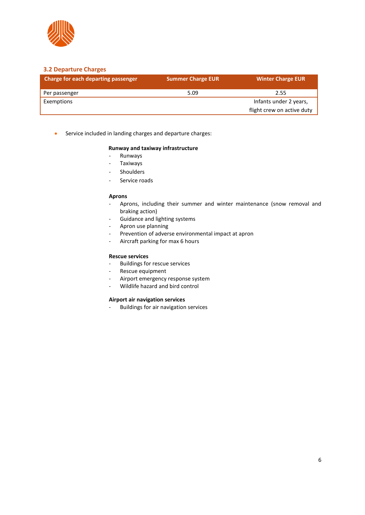

## **3.2 Departure Charges**

| Charge for each departing passenger | <b>Summer Charge EUR</b> | <b>Winter Charge EUR</b>   |
|-------------------------------------|--------------------------|----------------------------|
| Per passenger                       | 5.09                     | 2.55                       |
| Exemptions                          |                          | Infants under 2 years,     |
|                                     |                          | flight crew on active duty |

• Service included in landing charges and departure charges:

#### **Runway and taxiway infrastructure**

- Runways
- **Taxiways**
- **Shoulders**
- Service roads

#### **Aprons**

- Aprons, including their summer and winter maintenance (snow removal and braking action)
- Guidance and lighting systems
- Apron use planning
- Prevention of adverse environmental impact at apron
- Aircraft parking for max 6 hours

#### **Rescue services**

- Buildings for rescue services
- Rescue equipment
- Airport emergency response system
- Wildlife hazard and bird control

#### **Airport air navigation services**

- Buildings for air navigation services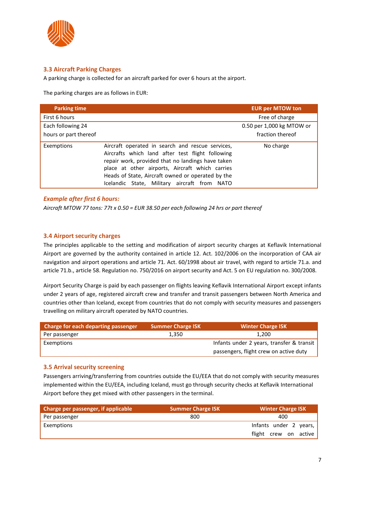

# <span id="page-6-0"></span>**3.3 Aircraft Parking Charges**

A parking charge is collected for an aircraft parked for over 6 hours at the airport.

The parking charges are as follows in EUR:

| <b>Parking time</b>   |                                                                                                                                                                                                                                                                                                                   | <b>EUR per MTOW ton</b>   |
|-----------------------|-------------------------------------------------------------------------------------------------------------------------------------------------------------------------------------------------------------------------------------------------------------------------------------------------------------------|---------------------------|
| First 6 hours         |                                                                                                                                                                                                                                                                                                                   | Free of charge            |
| Each following 24     |                                                                                                                                                                                                                                                                                                                   | 0.50 per 1,000 kg MTOW or |
| hours or part thereof |                                                                                                                                                                                                                                                                                                                   | fraction thereof          |
| Exemptions            | Aircraft operated in search and rescue services,<br>Aircrafts which land after test flight following<br>repair work, provided that no landings have taken<br>place at other airports, Aircraft which carries<br>Heads of State, Aircraft owned or operated by the<br>Icelandic State, Military aircraft from NATO | No charge                 |

# <span id="page-6-1"></span>*Example after first 6 hours:*

*Aircraft MTOW 77 tons: 77t x 0.50 = EUR 38.50 per each following 24 hrs or part thereof*

## **3.4 Airport security charges**

The principles applicable to the setting and modification of airport security charges at Keflavik International Airport are governed by the authority contained in article 12. Act. 102/2006 on the incorporation of CAA air navigation and airport operations and article 71. Act. 60/1998 about air travel, with regard to article 71.a. and article 71.b., article 58. Regulation no. 750/2016 on airport security and Act. 5 on EU regulation no. 300/2008.

Airport Security Charge is paid by each passenger on flights leaving Keflavik International Airport except infants under 2 years of age, registered aircraft crew and transfer and transit passengers between North America and countries other than Iceland, except from countries that do not comply with security measures and passengers travelling on military aircraft operated by NATO countries.

| Charge for each departing passenger | Summer Charge ISK | <b>Winter Charge ISK</b>                  |
|-------------------------------------|-------------------|-------------------------------------------|
| Per passenger                       | 1,350             | 1.200                                     |
| Exemptions                          |                   | Infants under 2 years, transfer & transit |
|                                     |                   | passengers, flight crew on active duty    |

#### <span id="page-6-2"></span>**3.5 Arrival security screening**

Passengers arriving/transferring from countries outside the EU/EEA that do not comply with security measures implemented within the EU/EEA, including Iceland, must go through security checks at Keflavik International Airport before they get mixed with other passengers in the terminal.

| Charge per passenger, if applicable | <b>Summer Charge ISK</b> | <b>Winter Charge ISK</b> |
|-------------------------------------|--------------------------|--------------------------|
| Per passenger                       | 800                      | 400                      |
| Exemptions                          |                          | Infants under 2 years,   |
|                                     |                          | flight crew on active    |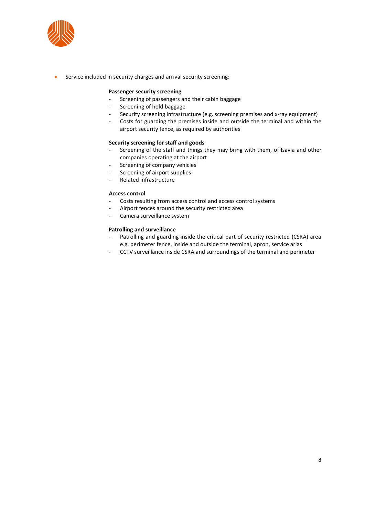

• Service included in security charges and arrival security screening:

#### **Passenger security screening**

- Screening of passengers and their cabin baggage
- Screening of hold baggage
- Security screening infrastructure (e.g. screening premises and x-ray equipment)
- Costs for guarding the premises inside and outside the terminal and within the airport security fence, as required by authorities

#### **Security screening for staff and goods**

- Screening of the staff and things they may bring with them, of Isavia and other companies operating at the airport
- Screening of company vehicles
- Screening of airport supplies
- Related infrastructure

#### **Access control**

- Costs resulting from access control and access control systems
- Airport fences around the security restricted area
- Camera surveillance system

#### **Patrolling and surveillance**

- Patrolling and guarding inside the critical part of security restricted (CSRA) area e.g. perimeter fence, inside and outside the terminal, apron, service arias
- <span id="page-7-0"></span>- CCTV surveillance inside CSRA and surroundings of the terminal and perimeter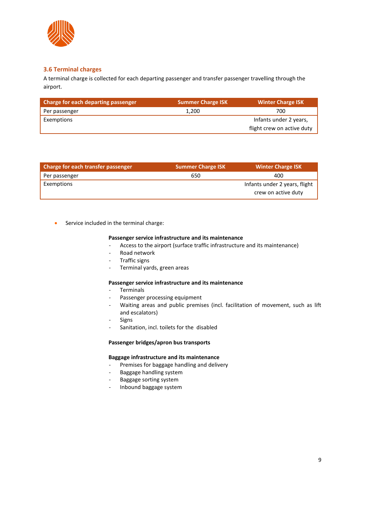

# **3.6 Terminal charges**

A terminal charge is collected for each departing passenger and transfer passenger travelling through the airport.

| Charge for each departing passenger | <b>Summer Charge ISK</b> | Winter Charge ISK          |
|-------------------------------------|--------------------------|----------------------------|
| Per passenger                       | 1.200                    | 700                        |
| Exemptions                          |                          | Infants under 2 years,     |
|                                     |                          | flight crew on active duty |

| Charge for each transfer passenger | <b>Summer Charge ISK</b> | <b>Winter Charge ISK</b>                             |
|------------------------------------|--------------------------|------------------------------------------------------|
| Per passenger                      | 650                      | 400                                                  |
| Exemptions                         |                          | Infants under 2 years, flight<br>crew on active duty |

• Service included in the terminal charge:

#### **Passenger service infrastructure and its maintenance**

- Access to the airport (surface traffic infrastructure and its maintenance)
- Road network
- Traffic signs
- Terminal yards, green areas

#### **Passenger service infrastructure and its maintenance**

- Terminals
- Passenger processing equipment
- Waiting areas and public premises (incl. facilitation of movement, such as lift and escalators)
- **Signs**
- Sanitation, incl. toilets for the disabled

#### **Passenger bridges/apron bus transports**

## **Baggage infrastructure and its maintenance**

- Premises for baggage handling and delivery
- Baggage handling system
- Baggage sorting system
- <span id="page-8-0"></span>- Inbound baggage system